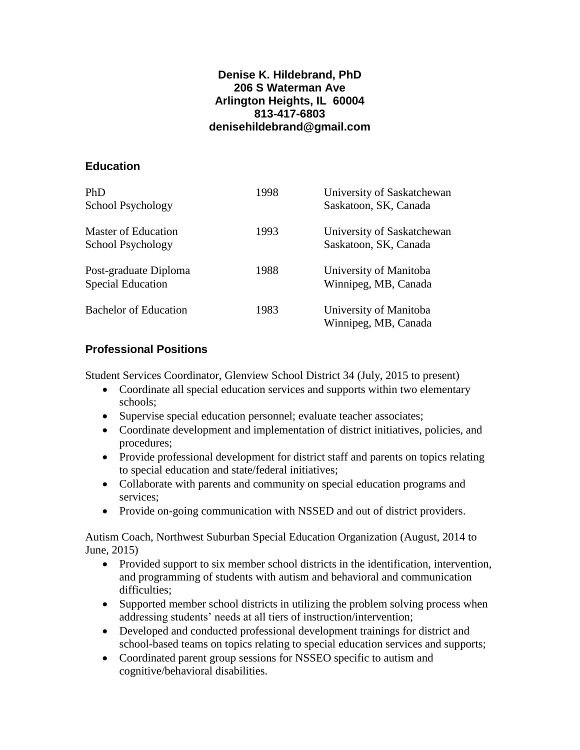### **Denise K. Hildebrand, PhD 206 S Waterman Ave Arlington Heights, IL 60004 813-417-6803 denisehildebrand@gmail.com**

# **Education**

| PhD<br>School Psychology                          | 1998 | University of Saskatchewan<br>Saskatoon, SK, Canada |
|---------------------------------------------------|------|-----------------------------------------------------|
| Master of Education<br>School Psychology          | 1993 | University of Saskatchewan<br>Saskatoon, SK, Canada |
| Post-graduate Diploma<br><b>Special Education</b> | 1988 | University of Manitoba<br>Winnipeg, MB, Canada      |
| <b>Bachelor of Education</b>                      | 1983 | University of Manitoba<br>Winnipeg, MB, Canada      |

# **Professional Positions**

Student Services Coordinator, Glenview School District 34 (July, 2015 to present)

- Coordinate all special education services and supports within two elementary schools;
- Supervise special education personnel; evaluate teacher associates;
- Coordinate development and implementation of district initiatives, policies, and procedures;
- Provide professional development for district staff and parents on topics relating to special education and state/federal initiatives;
- Collaborate with parents and community on special education programs and services;
- Provide on-going communication with NSSED and out of district providers.

Autism Coach, Northwest Suburban Special Education Organization (August, 2014 to June, 2015)

- Provided support to six member school districts in the identification, intervention, and programming of students with autism and behavioral and communication difficulties:
- Supported member school districts in utilizing the problem solving process when addressing students' needs at all tiers of instruction/intervention;
- Developed and conducted professional development trainings for district and school-based teams on topics relating to special education services and supports;
- Coordinated parent group sessions for NSSEO specific to autism and cognitive/behavioral disabilities.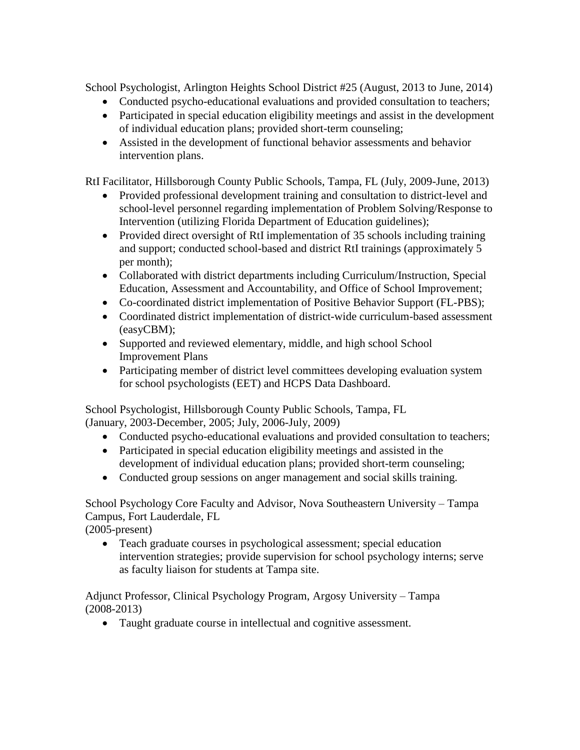School Psychologist, Arlington Heights School District #25 (August, 2013 to June, 2014)

- Conducted psycho-educational evaluations and provided consultation to teachers;
- Participated in special education eligibility meetings and assist in the development of individual education plans; provided short-term counseling;
- Assisted in the development of functional behavior assessments and behavior intervention plans.

RtI Facilitator, Hillsborough County Public Schools, Tampa, FL (July, 2009-June, 2013)

- Provided professional development training and consultation to district-level and school-level personnel regarding implementation of Problem Solving/Response to Intervention (utilizing Florida Department of Education guidelines);
- Provided direct oversight of RtI implementation of 35 schools including training and support; conducted school-based and district RtI trainings (approximately 5 per month);
- Collaborated with district departments including Curriculum/Instruction, Special Education, Assessment and Accountability, and Office of School Improvement;
- Co-coordinated district implementation of Positive Behavior Support (FL-PBS);
- Coordinated district implementation of district-wide curriculum-based assessment (easyCBM);
- Supported and reviewed elementary, middle, and high school School Improvement Plans
- Participating member of district level committees developing evaluation system for school psychologists (EET) and HCPS Data Dashboard.

School Psychologist, Hillsborough County Public Schools, Tampa, FL (January, 2003-December, 2005; July, 2006-July, 2009)

- Conducted psycho-educational evaluations and provided consultation to teachers;
- Participated in special education eligibility meetings and assisted in the development of individual education plans; provided short-term counseling;
- Conducted group sessions on anger management and social skills training.

School Psychology Core Faculty and Advisor, Nova Southeastern University – Tampa Campus, Fort Lauderdale, FL

(2005-present)

• Teach graduate courses in psychological assessment; special education intervention strategies; provide supervision for school psychology interns; serve as faculty liaison for students at Tampa site.

Adjunct Professor, Clinical Psychology Program, Argosy University – Tampa (2008-2013)

Taught graduate course in intellectual and cognitive assessment.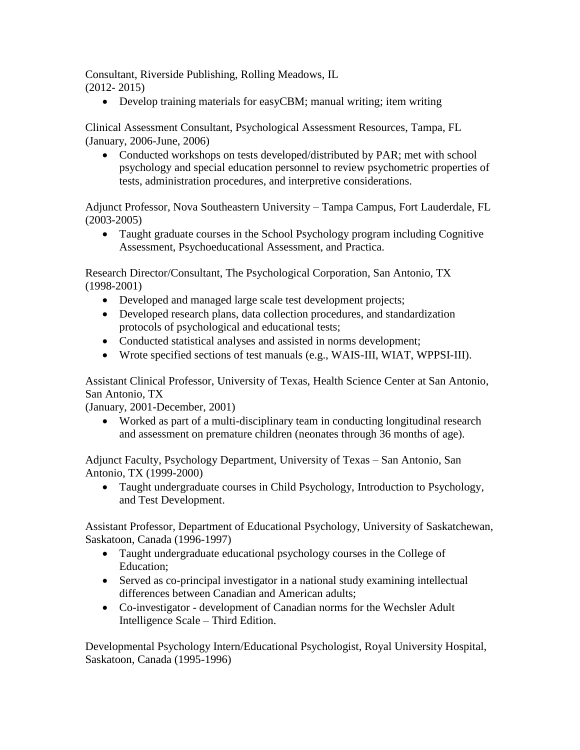Consultant, Riverside Publishing, Rolling Meadows, IL (2012- 2015)

Develop training materials for easyCBM; manual writing; item writing

Clinical Assessment Consultant, Psychological Assessment Resources, Tampa, FL (January, 2006-June, 2006)

• Conducted workshops on tests developed/distributed by PAR; met with school psychology and special education personnel to review psychometric properties of tests, administration procedures, and interpretive considerations.

Adjunct Professor, Nova Southeastern University – Tampa Campus, Fort Lauderdale, FL (2003-2005)

 Taught graduate courses in the School Psychology program including Cognitive Assessment, Psychoeducational Assessment, and Practica.

Research Director/Consultant, The Psychological Corporation, San Antonio, TX (1998-2001)

- Developed and managed large scale test development projects;
- Developed research plans, data collection procedures, and standardization protocols of psychological and educational tests;
- Conducted statistical analyses and assisted in norms development;
- Wrote specified sections of test manuals (e.g., WAIS-III, WIAT, WPPSI-III).

Assistant Clinical Professor, University of Texas, Health Science Center at San Antonio, San Antonio, TX

(January, 2001-December, 2001)

 Worked as part of a multi-disciplinary team in conducting longitudinal research and assessment on premature children (neonates through 36 months of age).

Adjunct Faculty, Psychology Department, University of Texas – San Antonio, San Antonio, TX (1999-2000)

 Taught undergraduate courses in Child Psychology, Introduction to Psychology, and Test Development.

Assistant Professor, Department of Educational Psychology, University of Saskatchewan, Saskatoon, Canada (1996-1997)

- Taught undergraduate educational psychology courses in the College of Education;
- Served as co-principal investigator in a national study examining intellectual differences between Canadian and American adults;
- Co-investigator development of Canadian norms for the Wechsler Adult Intelligence Scale – Third Edition.

Developmental Psychology Intern/Educational Psychologist, Royal University Hospital, Saskatoon, Canada (1995-1996)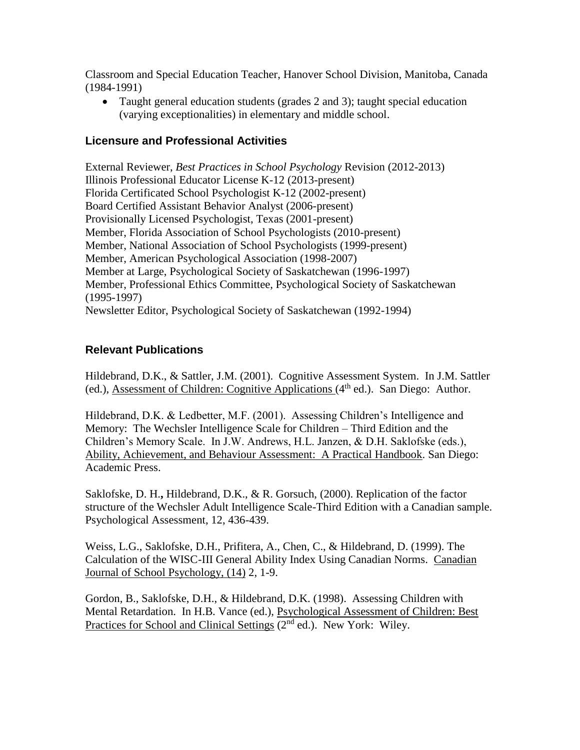Classroom and Special Education Teacher, Hanover School Division, Manitoba, Canada (1984-1991)

 Taught general education students (grades 2 and 3); taught special education (varying exceptionalities) in elementary and middle school.

# **Licensure and Professional Activities**

External Reviewer, *Best Practices in School Psychology* Revision (2012-2013) Illinois Professional Educator License K-12 (2013-present) Florida Certificated School Psychologist K-12 (2002-present) Board Certified Assistant Behavior Analyst (2006-present) Provisionally Licensed Psychologist, Texas (2001-present) Member, Florida Association of School Psychologists (2010-present) Member, National Association of School Psychologists (1999-present) Member, American Psychological Association (1998-2007) Member at Large, Psychological Society of Saskatchewan (1996-1997) Member, Professional Ethics Committee, Psychological Society of Saskatchewan (1995-1997) Newsletter Editor, Psychological Society of Saskatchewan (1992-1994)

# **Relevant Publications**

Hildebrand, D.K., & Sattler, J.M. (2001). Cognitive Assessment System. In J.M. Sattler (ed.), Assessment of Children: Cognitive Applications  $(4<sup>th</sup>$  ed.). San Diego: Author.

Hildebrand, D.K. & Ledbetter, M.F. (2001). Assessing Children's Intelligence and Memory: The Wechsler Intelligence Scale for Children – Third Edition and the Children's Memory Scale. In J.W. Andrews, H.L. Janzen, & D.H. Saklofske (eds.), Ability, Achievement, and Behaviour Assessment: A Practical Handbook. San Diego: Academic Press.

Saklofske, D. H.**,** Hildebrand, D.K., & R. Gorsuch, (2000). Replication of the factor structure of the Wechsler Adult Intelligence Scale-Third Edition with a Canadian sample. Psychological Assessment, 12, 436-439.

Weiss, L.G., Saklofske, D.H., Prifitera, A., Chen, C., & Hildebrand, D. (1999). The Calculation of the WISC-III General Ability Index Using Canadian Norms. Canadian Journal of School Psychology, (14) 2, 1-9.

Gordon, B., Saklofske, D.H., & Hildebrand, D.K. (1998). Assessing Children with Mental Retardation. In H.B. Vance (ed.), Psychological Assessment of Children: Best Practices for School and Clinical Settings (2<sup>nd</sup> ed.). New York: Wiley.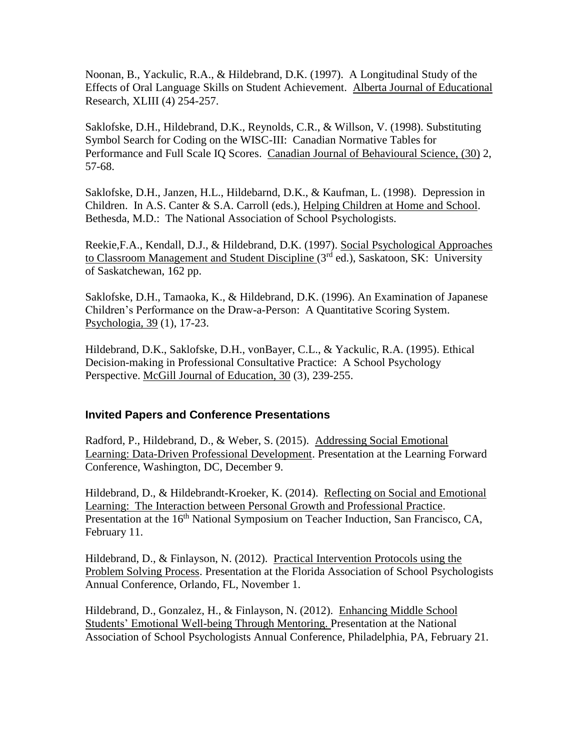Noonan, B., Yackulic, R.A., & Hildebrand, D.K. (1997). A Longitudinal Study of the Effects of Oral Language Skills on Student Achievement. Alberta Journal of Educational Research, XLIII (4) 254-257.

Saklofske, D.H., Hildebrand, D.K., Reynolds, C.R., & Willson, V. (1998). Substituting Symbol Search for Coding on the WISC-III: Canadian Normative Tables for Performance and Full Scale IQ Scores. Canadian Journal of Behavioural Science, (30) 2, 57-68.

Saklofske, D.H., Janzen, H.L., Hildebarnd, D.K., & Kaufman, L. (1998). Depression in Children. In A.S. Canter & S.A. Carroll (eds.), Helping Children at Home and School. Bethesda, M.D.: The National Association of School Psychologists.

Reekie,F.A., Kendall, D.J., & Hildebrand, D.K. (1997). Social Psychological Approaches to Classroom Management and Student Discipline (3<sup>rd</sup> ed.), Saskatoon, SK: University of Saskatchewan, 162 pp.

Saklofske, D.H., Tamaoka, K., & Hildebrand, D.K. (1996). An Examination of Japanese Children's Performance on the Draw-a-Person: A Quantitative Scoring System. Psychologia, 39 (1), 17-23.

Hildebrand, D.K., Saklofske, D.H., vonBayer, C.L., & Yackulic, R.A. (1995). Ethical Decision-making in Professional Consultative Practice: A School Psychology Perspective. McGill Journal of Education, 30 (3), 239-255.

### **Invited Papers and Conference Presentations**

Radford, P., Hildebrand, D., & Weber, S. (2015). Addressing Social Emotional Learning: Data-Driven Professional Development. Presentation at the Learning Forward Conference, Washington, DC, December 9.

Hildebrand, D., & Hildebrandt-Kroeker, K. (2014). Reflecting on Social and Emotional Learning: The Interaction between Personal Growth and Professional Practice. Presentation at the 16<sup>th</sup> National Symposium on Teacher Induction, San Francisco, CA, February 11.

Hildebrand, D., & Finlayson, N. (2012). Practical Intervention Protocols using the Problem Solving Process. Presentation at the Florida Association of School Psychologists Annual Conference, Orlando, FL, November 1.

Hildebrand, D., Gonzalez, H., & Finlayson, N. (2012). Enhancing Middle School Students' Emotional Well-being Through Mentoring. Presentation at the National Association of School Psychologists Annual Conference, Philadelphia, PA, February 21.